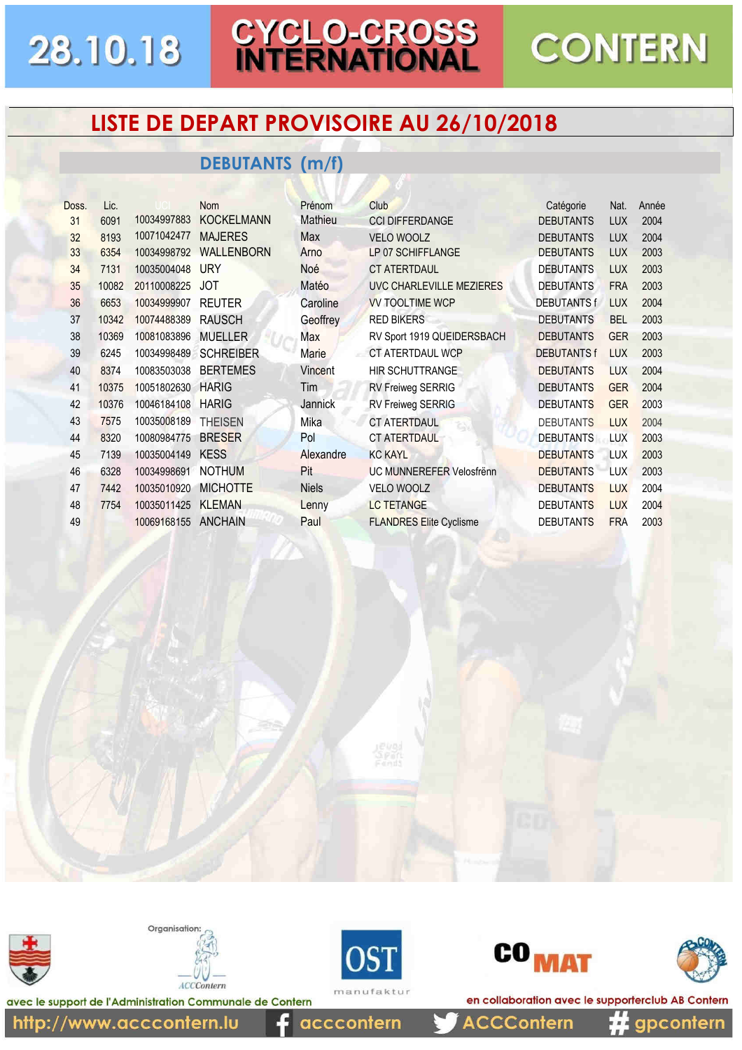## 23.10.18

# CYCLO-CROSS<br>INTERNATIONAL

### **LISTE DE DEPART PROVISOIRE AU 26/10/2018**

#### **DEBUTANTS (m/f)**

| Doss. | Lic.  |             | <b>Nom</b>        | Prénom       | <b>Club</b>                     | Catégorie          | Nat.       | Année |  |
|-------|-------|-------------|-------------------|--------------|---------------------------------|--------------------|------------|-------|--|
| 31    | 6091  | 10034997883 | <b>KOCKELMANN</b> | Mathieu      | <b>CCI DIFFERDANGE</b>          | <b>DEBUTANTS</b>   | <b>LUX</b> | 2004  |  |
| 32    | 8193  | 10071042477 | <b>MAJERES</b>    | <b>Max</b>   | <b>VELO WOOLZ</b>               | <b>DEBUTANTS</b>   | <b>LUX</b> | 2004  |  |
| 33    | 6354  | 10034998792 | <b>WALLENBORN</b> | Arno         | LP 07 SCHIFFLANGE               | <b>DEBUTANTS</b>   | <b>LUX</b> | 2003  |  |
| 34    | 7131  | 10035004048 | <b>URY</b>        | Noé          | <b>CT ATERTDAUL</b>             | <b>DEBUTANTS</b>   | <b>LUX</b> | 2003  |  |
| 35    | 10082 | 20110008225 | <b>JOT</b>        | Matéo        | UVC CHARLEVILLE MEZIERES        | <b>DEBUTANTS</b>   | <b>FRA</b> | 2003  |  |
| 36    | 6653  | 10034999907 | <b>REUTER</b>     | Caroline     | <b>VV TOOLTIME WCP</b>          | <b>DEBUTANTS f</b> | <b>LUX</b> | 2004  |  |
| 37    | 10342 | 10074488389 | <b>RAUSCH</b>     | Geoffrey     | <b>RED BIKERS</b>               | <b>DEBUTANTS</b>   | <b>BEL</b> | 2003  |  |
| 38    | 10369 | 10081083896 | <b>MUELLER</b>    | Max          | RV Sport 1919 QUEIDERSBACH      | <b>DEBUTANTS</b>   | <b>GER</b> | 2003  |  |
| 39    | 6245  | 10034998489 | <b>SCHREIBER</b>  | <b>Marie</b> | <b>CT ATERTDAUL WCP</b>         | <b>DEBUTANTS f</b> | <b>LUX</b> | 2003  |  |
| 40    | 8374  | 10083503038 | <b>BERTEMES</b>   | Vincent      | <b>HIR SCHUTTRANGE</b>          | <b>DEBUTANTS</b>   | <b>LUX</b> | 2004  |  |
| 41    | 10375 | 10051802630 | <b>HARIG</b>      | Tim          | RV Freiweg SERRIG               | <b>DEBUTANTS</b>   | <b>GER</b> | 2004  |  |
| 42    | 10376 | 10046184108 | <b>HARIG</b>      | Jannick      | RV Freiweg SERRIG               | <b>DEBUTANTS</b>   | <b>GER</b> | 2003  |  |
| 43    | 7575  | 10035008189 | <b>THEISEN</b>    | Mika         | <b>CT ATERTDAUL</b>             | <b>DEBUTANTS</b>   | <b>LUX</b> | 2004  |  |
| 44    | 8320  | 10080984775 | <b>BRESER</b>     | Pol          | <b>CT ATERTDAUL</b>             | <b>DEBUTANTS</b>   | <b>LUX</b> | 2003  |  |
| 45    | 7139  | 10035004149 | <b>KESS</b>       | Alexandre    | <b>KC KAYL</b>                  | <b>DEBUTANTS</b>   | <b>LUX</b> | 2003  |  |
| 46    | 6328  | 10034998691 | <b>NOTHUM</b>     | <b>Pit</b>   | <b>UC MUNNEREFER Velosfrënn</b> | <b>DEBUTANTS</b>   | <b>LUX</b> | 2003  |  |
| 47    | 7442  | 10035010920 | <b>MICHOTTE</b>   | <b>Niels</b> | <b>VELO WOOLZ</b>               | <b>DEBUTANTS</b>   | <b>LUX</b> | 2004  |  |
| 48    | 7754  | 10035011425 | <b>KLEMAN</b>     | Lenny        | <b>LC TETANGE</b>               | <b>DEBUTANTS</b>   | <b>LUX</b> | 2004  |  |
| 49    |       | 10069168155 | <b>ANCHAIN</b>    | Paul         | <b>FLANDRES Elite Cyclisme</b>  | <b>DEBUTANTS</b>   | <b>FRA</b> | 2003  |  |
|       |       |             |                   |              |                                 |                    |            |       |  |







acccontern



en collaboration avec le supporterclub AB Contern



gpcontern

**CONTERN** 

avec le support de l'Administration Communale de Contern

**ACCContern**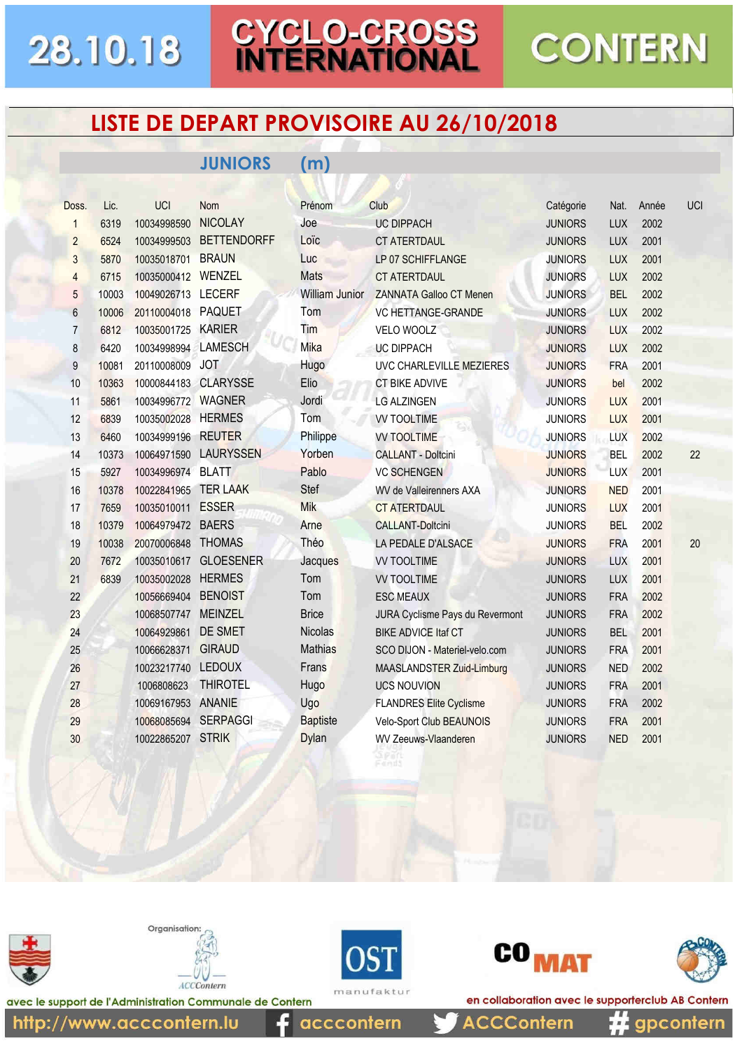## 23.10.18

# CYCLO-CROSS<br>INTERNATIONAL

### LISTE DE DEPART PROVISOIRE AU 26/10/2018

 $(m)$ 

#### **JUNIORS**

| Doss.          | Lic.  | UCI         | Nom                | Prénom                | Club                            | Catégorie      | Nat.       | Année | <b>UCI</b> |
|----------------|-------|-------------|--------------------|-----------------------|---------------------------------|----------------|------------|-------|------------|
| 1              | 6319  | 10034998590 | <b>NICOLAY</b>     | Joe                   | <b>UC DIPPACH</b>               | <b>JUNIORS</b> | <b>LUX</b> | 2002  |            |
| $\overline{2}$ | 6524  | 10034999503 | <b>BETTENDORFF</b> | Loïc                  | <b>CT ATERTDAUL</b>             | <b>JUNIORS</b> | <b>LUX</b> | 2001  |            |
| 3              | 5870  | 10035018701 | <b>BRAUN</b>       | Luc                   | LP 07 SCHIFFLANGE               | <b>JUNIORS</b> | LUX        | 2001  |            |
| 4              | 6715  | 10035000412 | <b>WENZEL</b>      | <b>Mats</b>           | <b>CT ATERTDAUL</b>             | <b>JUNIORS</b> | <b>LUX</b> | 2002  |            |
| 5              | 10003 | 10049026713 | <b>LECERF</b>      | <b>William Junior</b> | <b>ZANNATA Galloo CT Menen</b>  | <b>JUNIORS</b> | <b>BEL</b> | 2002  |            |
| $6\phantom{1}$ | 10006 | 20110004018 | <b>PAQUET</b>      | Tom                   | <b>VC HETTANGE-GRANDE</b>       | <b>JUNIORS</b> | LUX        | 2002  |            |
| $\overline{7}$ | 6812  | 10035001725 | <b>KARIER</b>      | Tim                   | VELO WOOLZ                      | <b>JUNIORS</b> | <b>LUX</b> | 2002  |            |
| 8              | 6420  | 10034998994 | <b>LAMESCH</b>     | Mika                  | <b>UC DIPPACH</b>               | <b>JUNIORS</b> | <b>LUX</b> | 2002  |            |
| 9              | 10081 | 20110008009 | <b>JOT</b>         | Hugo                  | UVC CHARLEVILLE MEZIERES        | <b>JUNIORS</b> | <b>FRA</b> | 2001  |            |
| 10             | 10363 | 10000844183 | <b>CLARYSSE</b>    | Elio                  | CT BIKE ADVIVE                  | <b>JUNIORS</b> | bel        | 2002  |            |
| 11             | 5861  | 10034996772 | <b>WAGNER</b>      | Jordi                 | <b>LG ALZINGEN</b>              | <b>JUNIORS</b> | <b>LUX</b> | 2001  |            |
| 12             | 6839  | 10035002028 | <b>HERMES</b>      | Tom                   | <b>VV TOOLTIME</b>              | <b>JUNIORS</b> | <b>LUX</b> | 2001  |            |
| 13             | 6460  | 10034999196 | <b>REUTER</b>      | Philippe              | <b>VV TOOLTIME</b>              | <b>JUNIORS</b> | <b>LUX</b> | 2002  |            |
| 14             | 10373 | 10064971590 | <b>LAURYSSEN</b>   | Yorben                | <b>CALLANT - Doltcini</b>       | <b>JUNIORS</b> | <b>BEL</b> | 2002  | 22         |
| 15             | 5927  | 10034996974 | <b>BLATT</b>       | Pablo                 | <b>VC SCHENGEN</b>              | <b>JUNIORS</b> | LUX        | 2001  |            |
| 16             | 10378 | 10022841965 | <b>TER LAAK</b>    | Stef                  | WV de Valleirenners AXA         | <b>JUNIORS</b> | <b>NED</b> | 2001  |            |
| 17             | 7659  | 10035010011 | <b>ESSER</b>       | <b>Mik</b>            | <b>CT ATERTDAUL</b>             | <b>JUNIORS</b> | LUX        | 2001  |            |
| 18             | 10379 | 10064979472 | <b>BAERS</b>       | Arne                  | <b>CALLANT-Doltcini</b>         | <b>JUNIORS</b> | <b>BEL</b> | 2002  |            |
| 19             | 10038 | 20070006848 | <b>THOMAS</b>      | Théo                  | LA PEDALE D'ALSACE              | <b>JUNIORS</b> | <b>FRA</b> | 2001  | 20         |
| 20             | 7672  | 10035010617 | <b>GLOESENER</b>   | <b>Jacques</b>        | <b>VV TOOLTIME</b>              | <b>JUNIORS</b> | <b>LUX</b> | 2001  |            |
| 21             | 6839  | 10035002028 | <b>HERMES</b>      | Tom                   | <b>VV TOOLTIME</b>              | <b>JUNIORS</b> | <b>LUX</b> | 2001  |            |
| 22             |       | 10056669404 | <b>BENOIST</b>     | Tom                   | <b>ESC MEAUX</b>                | <b>JUNIORS</b> | <b>FRA</b> | 2002  |            |
| 23             |       | 10068507747 | <b>MEINZEL</b>     | <b>Brice</b>          | JURA Cyclisme Pays du Revermont | <b>JUNIORS</b> | <b>FRA</b> | 2002  |            |
| 24             |       | 10064929861 | DE SMET            | <b>Nicolas</b>        | <b>BIKE ADVICE Itaf CT</b>      | <b>JUNIORS</b> | <b>BEL</b> | 2001  |            |
| 25             |       | 10066628371 | <b>GIRAUD</b>      | <b>Mathias</b>        | SCO DIJON - Materiel-velo.com   | <b>JUNIORS</b> | <b>FRA</b> | 2001  |            |
| 26             |       | 10023217740 | <b>LEDOUX</b>      | Frans                 | MAASLANDSTER Zuid-Limburg       | <b>JUNIORS</b> | <b>NED</b> | 2002  |            |
| 27             |       | 1006808623  | <b>THIROTEL</b>    | Hugo                  | <b>UCS NOUVION</b>              | <b>JUNIORS</b> | <b>FRA</b> | 2001  |            |
| 28             |       | 10069167953 | <b>ANANIE</b>      | Ugo                   | <b>FLANDRES Elite Cyclisme</b>  | <b>JUNIORS</b> | <b>FRA</b> | 2002  |            |
| 29             |       | 10068085694 | <b>SERPAGGI</b>    | <b>Baptiste</b>       | <b>Velo-Sport Club BEAUNOIS</b> | <b>JUNIORS</b> | <b>FRA</b> | 2001  |            |
| 30             |       | 10022865207 | <b>STRIK</b>       | Dylan                 | <b>WV Zeeuws-Vlaanderen</b>     | <b>JUNIORS</b> | <b>NED</b> | 2001  |            |
|                |       |             |                    |                       |                                 |                |            |       |            |







acccontern



en collaboration avec le supporterclub AB Contern

**CONTERN** 



gpcontern

avec le support de l'Administration Communale de Contern

**ACCContern**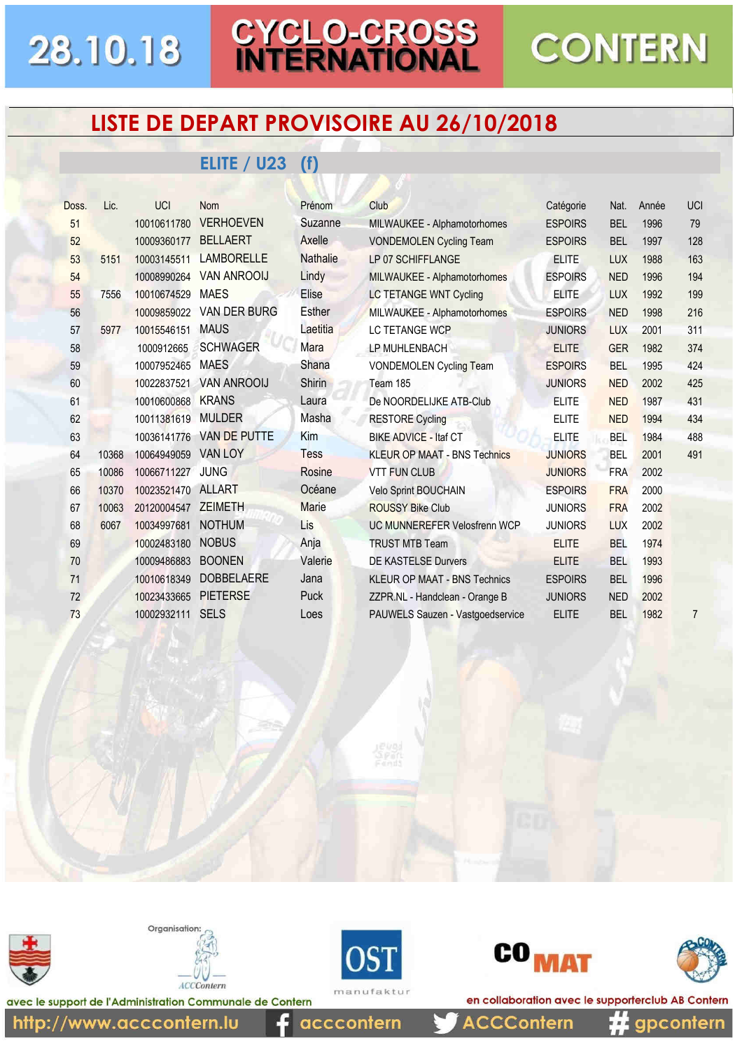# **CONTERN**

### LISTE DE DEPART PROVISOIRE AU 26/10/2018

#### **ELITE / U23 (f)**

| Doss. | Lic.  | <b>UCI</b>  | <b>Nom</b>         | Prénom          | Club                                | Catégorie      | Nat.       | Année | <b>UCI</b>     |
|-------|-------|-------------|--------------------|-----------------|-------------------------------------|----------------|------------|-------|----------------|
| 51    |       | 10010611780 | <b>VERHOEVEN</b>   | Suzanne         | MILWAUKEE - Alphamotorhomes         | <b>ESPOIRS</b> | <b>BEL</b> | 1996  | 79             |
| 52    |       | 10009360177 | <b>BELLAERT</b>    | Axelle          | <b>VONDEMOLEN Cycling Team</b>      | <b>ESPOIRS</b> | <b>BEL</b> | 1997  | 128            |
| 53    | 5151  | 10003145511 | <b>LAMBORELLE</b>  | <b>Nathalie</b> | LP 07 SCHIFFLANGE                   | <b>ELITE</b>   | <b>LUX</b> | 1988  | 163            |
| 54    |       | 10008990264 | <b>VAN ANROOIJ</b> | Lindy           | MILWAUKEE - Alphamotorhomes         | <b>ESPOIRS</b> | <b>NED</b> | 1996  | 194            |
| 55    | 7556  | 10010674529 | <b>MAES</b>        | <b>Elise</b>    | <b>LC TETANGE WNT Cycling</b>       | <b>ELITE</b>   | <b>LUX</b> | 1992  | 199            |
| 56    |       | 10009859022 | VAN DER BURG       | Esther          | MILWAUKEE - Alphamotorhomes         | <b>ESPOIRS</b> | <b>NED</b> | 1998  | 216            |
| 57    | 5977  | 10015546151 | <b>MAUS</b>        | Laetitia        | LC TETANGE WCP                      | <b>JUNIORS</b> | <b>LUX</b> | 2001  | 311            |
| 58    |       | 1000912665  | <b>SCHWAGER</b>    | Mara            | LP MUHLENBACH                       | <b>ELITE</b>   | <b>GER</b> | 1982  | 374            |
| 59    |       | 10007952465 | <b>MAES</b>        | Shana           | <b>VONDEMOLEN Cycling Team</b>      | <b>ESPOIRS</b> | <b>BEL</b> | 1995  | 424            |
| 60    |       | 10022837521 | <b>VAN ANROOIJ</b> | <b>Shirin</b>   | Team 185                            | <b>JUNIORS</b> | <b>NED</b> | 2002  | 425            |
| 61    |       | 10010600868 | <b>KRANS</b>       | Laura           | De NOORDELIJKE ATB-Club             | <b>ELITE</b>   | <b>NED</b> | 1987  | 431            |
| 62    |       | 10011381619 | <b>MULDER</b>      | Masha           | <b>RESTORE Cycling</b>              | <b>ELITE</b>   | <b>NED</b> | 1994  | 434            |
| 63    |       | 10036141776 | VAN DE PUTTE       | Kim             | <b>BIKE ADVICE - Itaf CT</b>        | <b>ELITE</b>   | <b>BEL</b> | 1984  | 488            |
| 64    | 10368 | 10064949059 | <b>VAN LOY</b>     | <b>Tess</b>     | <b>KLEUR OP MAAT - BNS Technics</b> | <b>JUNIORS</b> | <b>BEL</b> | 2001  | 491            |
| 65    | 10086 | 10066711227 | <b>JUNG</b>        | Rosine          | <b>VTT FUN CLUB</b>                 | <b>JUNIORS</b> | <b>FRA</b> | 2002  |                |
| 66    | 10370 | 10023521470 | ALLART             | Océane          | <b>Velo Sprint BOUCHAIN</b>         | <b>ESPOIRS</b> | <b>FRA</b> | 2000  |                |
| 67    | 10063 | 20120004547 | <b>ZEIMETH</b>     | <b>Marie</b>    | <b>ROUSSY Bike Club</b>             | <b>JUNIORS</b> | <b>FRA</b> | 2002  |                |
| 68    | 6067  | 10034997681 | <b>NOTHUM</b>      | Lis             | <b>UC MUNNEREFER Velosfrenn WCP</b> | <b>JUNIORS</b> | <b>LUX</b> | 2002  |                |
| 69    |       | 10002483180 | <b>NOBUS</b>       | Anja            | <b>TRUST MTB Team</b>               | <b>ELITE</b>   | <b>BEL</b> | 1974  |                |
| 70    |       | 10009486883 | <b>BOONEN</b>      | Valerie         | <b>DE KASTELSE Durvers</b>          | <b>ELITE</b>   | <b>BEL</b> | 1993  |                |
| 71    |       | 10010618349 | <b>DOBBELAERE</b>  | Jana            | <b>KLEUR OP MAAT - BNS Technics</b> | <b>ESPOIRS</b> | <b>BEL</b> | 1996  |                |
| 72    |       | 10023433665 | <b>PIETERSE</b>    | Puck            | ZZPR.NL - Handclean - Orange B      | <b>JUNIORS</b> | <b>NED</b> | 2002  |                |
| 73    |       | 10002932111 | <b>SELS</b>        | Loes            | PAUWELS Sauzen - Vastgoedservice    | <b>ELITE</b>   | <b>BEL</b> | 1982  | $\overline{7}$ |
|       |       |             |                    |                 |                                     |                |            |       |                |









avec le support de l'Administration Communale de Contern

**ACCContern** acccontern

gpcontern

en collaboration avec le supporterclub AB Contern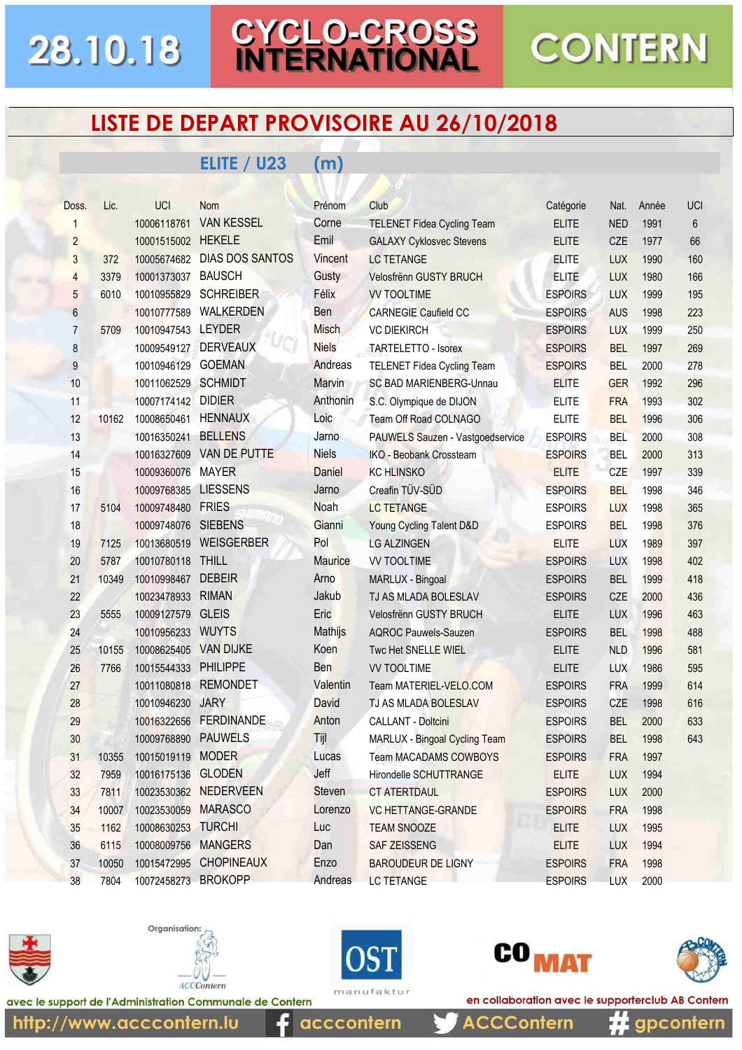### **LISTE DE DEPART PROVISOIRE AU 26/10/2018**

#### **ELITE / U23 (m)**

| Doss.           | Lic.  | <b>UCI</b>          | Nom                    | Prénom         | Club                                 | Catégorie      | Nat.       | Année | <b>UCI</b> |
|-----------------|-------|---------------------|------------------------|----------------|--------------------------------------|----------------|------------|-------|------------|
| 1               |       | 10006118761         | <b>VAN KESSEL</b>      | Corne          | <b>TELENET Fidea Cycling Team</b>    | <b>ELITE</b>   | <b>NED</b> | 1991  | 6          |
| $\overline{2}$  |       | 10001515002         | <b>HEKELE</b>          | Emil           | <b>GALAXY Cyklosvec Stevens</b>      | <b>ELITE</b>   | CZE        | 1977  | 66         |
| 3               | 372   | 10005674682         | <b>DIAS DOS SANTOS</b> | Vincent        | <b>LC TETANGE</b>                    | <b>ELITE</b>   | <b>LUX</b> | 1990  | 160        |
| 4               | 3379  | 10001373037         | <b>BAUSCH</b>          | <b>Gusty</b>   | Velosfrënn GUSTY BRUCH               | <b>ELITE</b>   | <b>LUX</b> | 1980  | 166        |
| 5               | 6010  | 10010955829         | <b>SCHREIBER</b>       | Félix          | <b>VV TOOLTIME</b>                   | <b>ESPOIRS</b> | <b>LUX</b> | 1999  | 195        |
| $6\phantom{.}6$ |       | 10010777589         | WALKERDEN              | Ben            | <b>CARNEGIE Caufield CC</b>          | <b>ESPOIRS</b> | <b>AUS</b> | 1998  | 223        |
| $\overline{7}$  | 5709  | 10010947543         | <b>LEYDER</b>          | <b>Misch</b>   | <b>VC DIEKIRCH</b>                   | <b>ESPOIRS</b> | <b>LUX</b> | 1999  | 250        |
| 8               |       | 10009549127         | <b>DERVEAUX</b>        | <b>Niels</b>   | <b>TARTELETTO - Isorex</b>           | <b>ESPOIRS</b> | <b>BEL</b> | 1997  | 269        |
| 9               |       | 10010946129         | <b>GOEMAN</b>          | Andreas        | <b>TELENET Fidea Cycling Team</b>    | <b>ESPOIRS</b> | <b>BEL</b> | 2000  | 278        |
| 10              |       | 10011062529         | <b>SCHMIDT</b>         | Marvin         | <b>SC BAD MARIENBERG-Unnau</b>       | <b>ELITE</b>   | <b>GER</b> | 1992  | 296        |
| 11              |       | 10007174142         | <b>DIDIER</b>          | Anthonin       | S.C. Olympique de DIJON              | <b>ELITE</b>   | <b>FRA</b> | 1993  | 302        |
| 12              | 10162 | 10008650461         | <b>HENNAUX</b>         | Loic           | <b>Team Off Road COLNAGO</b>         | <b>ELITE</b>   | <b>BEL</b> | 1996  | 306        |
| 13              |       | 10016350241         | <b>BELLENS</b>         | Jarno          | PAUWELS Sauzen - Vastgoedservice     | <b>ESPOIRS</b> | <b>BEL</b> | 2000  | 308        |
| 14              |       | 10016327609         | VAN DE PUTTE           | <b>Niels</b>   | <b>IKO - Beobank Crossteam</b>       | <b>ESPOIRS</b> | <b>BEL</b> | 2000  | 313        |
| 15              |       | 10009360076         | <b>MAYER</b>           | Daniel         | <b>KC HLINSKO</b>                    | <b>ELITE</b>   | <b>CZE</b> | 1997  | 339        |
| 16              |       | 10009768385         | <b>LIESSENS</b>        | Jarno          | Creafin TÜV-SÜD                      | <b>ESPOIRS</b> | <b>BEL</b> | 1998  | 346        |
| 17              | 5104  | 10009748480         | <b>FRIES</b>           | Noah           | <b>LC TETANGE</b>                    | <b>ESPOIRS</b> | LUX        | 1998  | 365        |
| 18              |       | 10009748076         | <b>SIEBENS</b>         | Gianni         | <b>Young Cycling Talent D&amp;D</b>  | <b>ESPOIRS</b> | <b>BEL</b> | 1998  | 376        |
| 19              | 7125  | 10013680519         | <b>WEISGERBER</b>      | Pol            | <b>LG ALZINGEN</b>                   | <b>ELITE</b>   | <b>LUX</b> | 1989  | 397        |
| 20              | 5787  | 10010780118         | <b>THILL</b>           | <b>Maurice</b> | <b>VV TOOLTIME</b>                   | <b>ESPOIRS</b> | <b>LUX</b> | 1998  | 402        |
| 21              | 10349 | 10010998467         | <b>DEBEIR</b>          | Arno           | MARLUX - Bingoal                     | <b>ESPOIRS</b> | <b>BEL</b> | 1999  | 418        |
| 22              |       | 10023478933         | <b>RIMAN</b>           | Jakub          | TJ AS MLADA BOLESLAV                 | <b>ESPOIRS</b> | CZE        | 2000  | 436        |
| 23              | 5555  | 10009127579         | <b>GLEIS</b>           | Eric           | Velosfrënn GUSTY BRUCH               | <b>ELITE</b>   | <b>LUX</b> | 1996  | 463        |
| 24              |       | 10010956233         | <b>WUYTS</b>           | Mathijs        | <b>AQROC Pauwels-Sauzen</b>          | <b>ESPOIRS</b> | <b>BEL</b> | 1998  | 488        |
| 25              | 10155 | 10008625405         | <b>VAN DIJKE</b>       | Koen           | Two Het SNELLE WIEL                  | <b>ELITE</b>   | <b>NLD</b> | 1996  | 581        |
| 26              | 7766  | 10015544333         | <b>PHILIPPE</b>        | Ben            | <b>VV TOOLTIME</b>                   | <b>ELITE</b>   | <b>LUX</b> | 1986  | 595        |
| 27              |       | 10011080818         | <b>REMONDET</b>        | Valentin       | Team MATERIEL-VELO.COM               | <b>ESPOIRS</b> | <b>FRA</b> | 1999  | 614        |
| 28              |       | 10010946230         | <b>JARY</b>            | David          | TJ AS MLADA BOLESLAV                 | <b>ESPOIRS</b> | CZE        | 1998  | 616        |
| 29              |       | 10016322656         | <b>FERDINANDE</b>      | Anton          | <b>CALLANT - Doltcini</b>            | <b>ESPOIRS</b> | <b>BEL</b> | 2000  | 633        |
| 30              |       | 10009768890         | <b>PAUWELS</b>         | Tijl           | <b>MARLUX - Bingoal Cycling Team</b> | <b>ESPOIRS</b> | <b>BEL</b> | 1998  | 643        |
| 31              | 10355 | 10015019119 MODER   |                        | Lucas          | <b>Team MACADAMS COWBOYS</b>         | <b>ESPOIRS</b> | <b>FRA</b> | 1997  |            |
| 32              | 7959  | 10016175136 GLODEN  |                        | Jeff           | Hirondelle SCHUTTRANGE               | <b>ELITE</b>   | <b>LUX</b> | 1994  |            |
| 33              | 7811  | 10023530362         | <b>NEDERVEEN</b>       | <b>Steven</b>  | <b>CT ATERTDAUL</b>                  | <b>ESPOIRS</b> | <b>LUX</b> | 2000  |            |
| 34              | 10007 | 10023530059         | <b>MARASCO</b>         | Lorenzo        | <b>VC HETTANGE-GRANDE</b>            | <b>ESPOIRS</b> | <b>FRA</b> | 1998  |            |
| 35              | 1162  | 10008630253         | <b>TURCHI</b>          | Luc            | <b>TEAM SNOOZE</b>                   | <b>ELITE</b>   | <b>LUX</b> | 1995  |            |
| 36              | 6115  | 10008009756         | <b>MANGERS</b>         | Dan            | <b>SAF ZEISSENG</b>                  | <b>ELITE</b>   | <b>LUX</b> | 1994  |            |
| 37              | 10050 | 10015472995         | <b>CHOPINEAUX</b>      | Enzo           | <b>BAROUDEUR DE LIGNY</b>            | <b>ESPOIRS</b> | <b>FRA</b> | 1998  |            |
| 38              | 7804  | 10072458273 BROKOPP |                        | Andreas        | <b>LC TETANGE</b>                    | <b>ESPOIRS</b> | <b>LUX</b> | 2000  |            |







acccontern



en collaboration avec le supporterclub AB Contern



gpcontern

**CONTERN** 

avec le support de l'Administration Communale de Contern

**ACCContern**